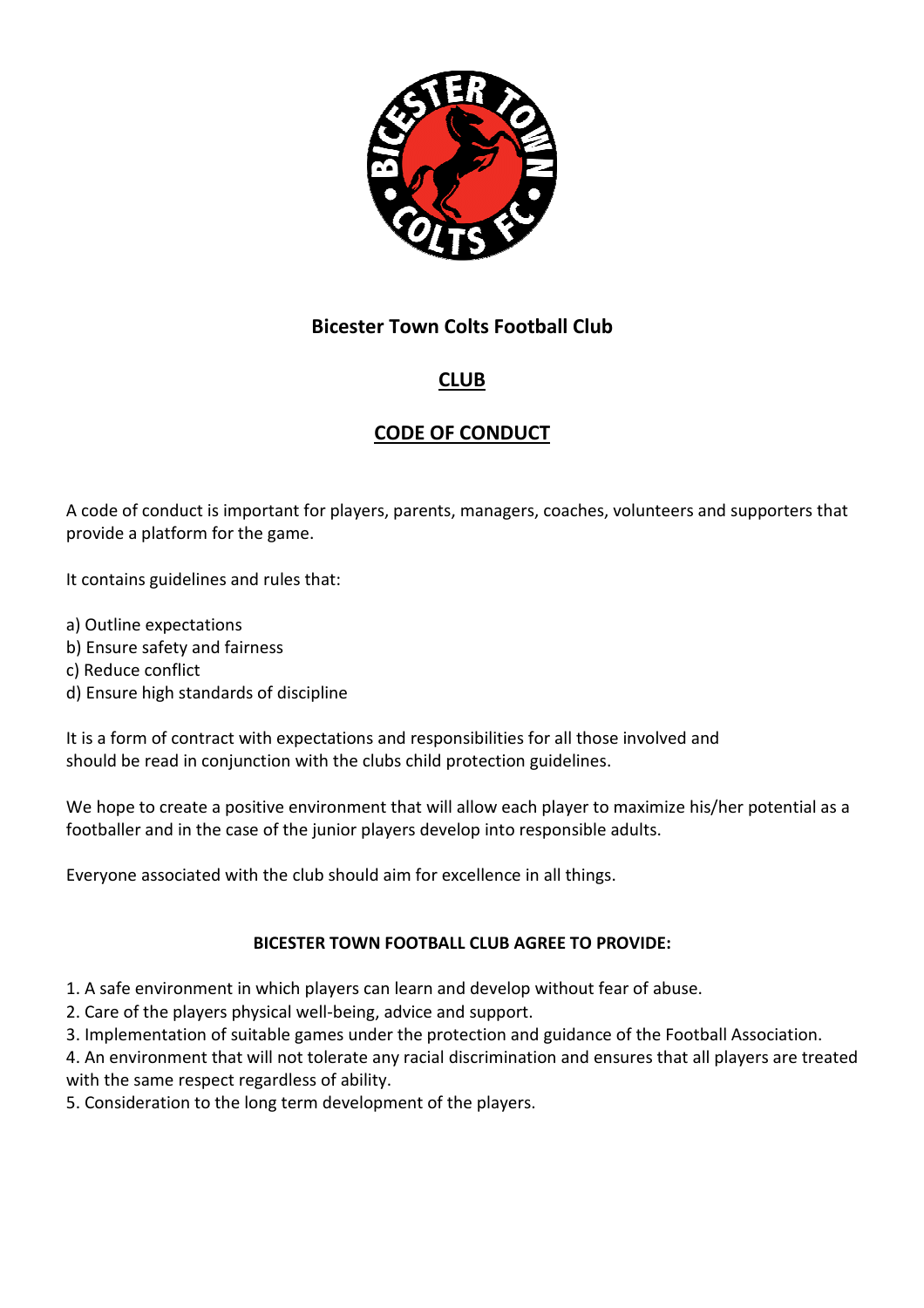

# **CLUB**

# **CODE OF CONDUCT**

A code of conduct is important for players, parents, managers, coaches, volunteers and supporters that provide a platform for the game.

It contains guidelines and rules that:

- a) Outline expectations
- b) Ensure safety and fairness
- c) Reduce conflict
- d) Ensure high standards of discipline

It is a form of contract with expectations and responsibilities for all those involved and should be read in conjunction with the clubs child protection guidelines.

We hope to create a positive environment that will allow each player to maximize his/her potential as a footballer and in the case of the junior players develop into responsible adults.

Everyone associated with the club should aim for excellence in all things.

#### **BICESTER TOWN FOOTBALL CLUB AGREE TO PROVIDE:**

- 1. A safe environment in which players can learn and develop without fear of abuse.
- 2. Care of the players physical well-being, advice and support.
- 3. Implementation of suitable games under the protection and guidance of the Football Association.

4. An environment that will not tolerate any racial discrimination and ensures that all players are treated with the same respect regardless of ability.

5. Consideration to the long term development of the players.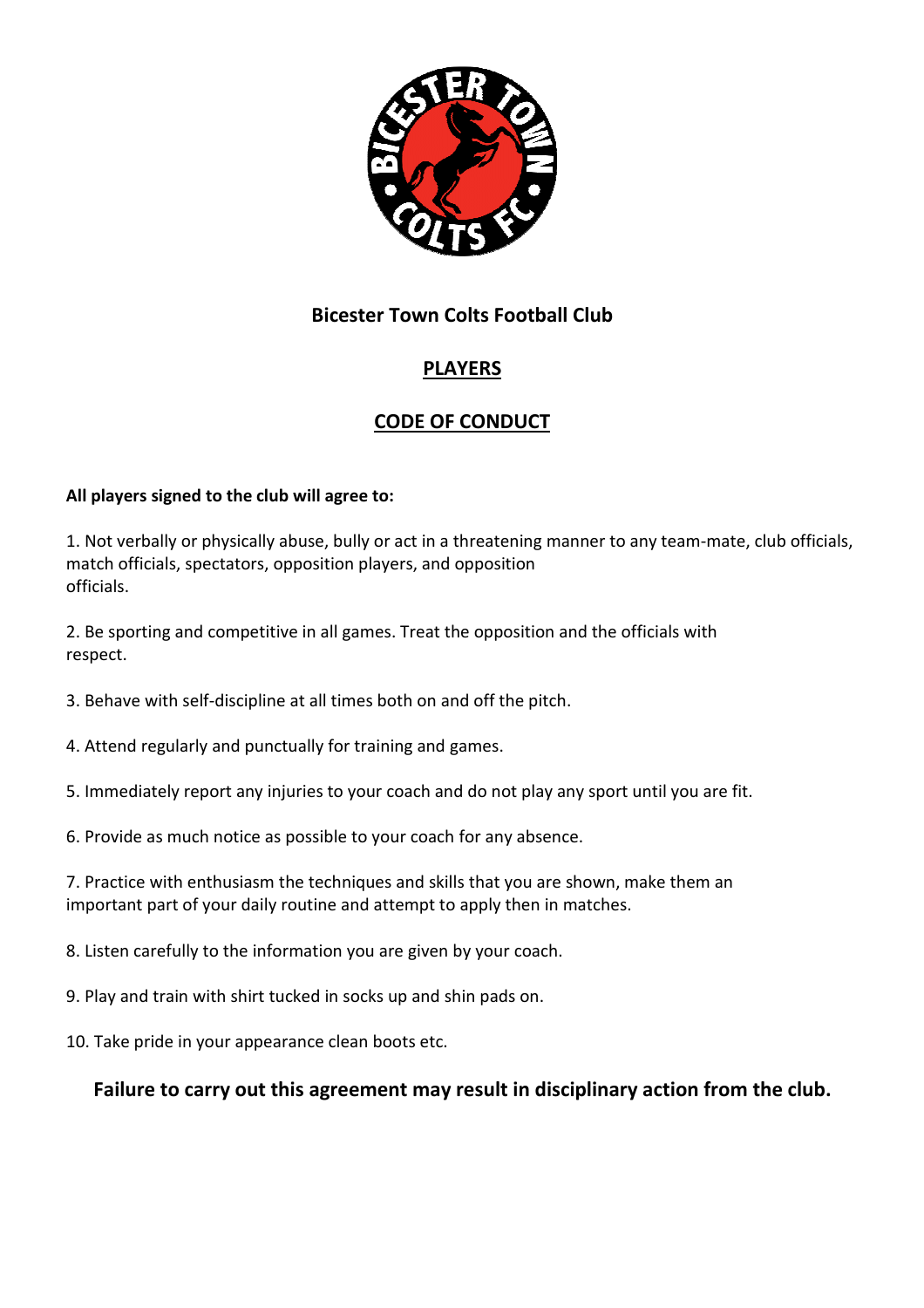

# **PLAYERS**

# **CODE OF CONDUCT**

#### **All players signed to the club will agree to:**

1. Not verbally or physically abuse, bully or act in a threatening manner to any team-mate, club officials, match officials, spectators, opposition players, and opposition officials.

2. Be sporting and competitive in all games. Treat the opposition and the officials with respect.

- 3. Behave with self-discipline at all times both on and off the pitch.
- 4. Attend regularly and punctually for training and games.
- 5. Immediately report any injuries to your coach and do not play any sport until you are fit.
- 6. Provide as much notice as possible to your coach for any absence.
- 7. Practice with enthusiasm the techniques and skills that you are shown, make them an important part of your daily routine and attempt to apply then in matches.
- 8. Listen carefully to the information you are given by your coach.
- 9. Play and train with shirt tucked in socks up and shin pads on.
- 10. Take pride in your appearance clean boots etc.

#### **Failure to carry out this agreement may result in disciplinary action from the club.**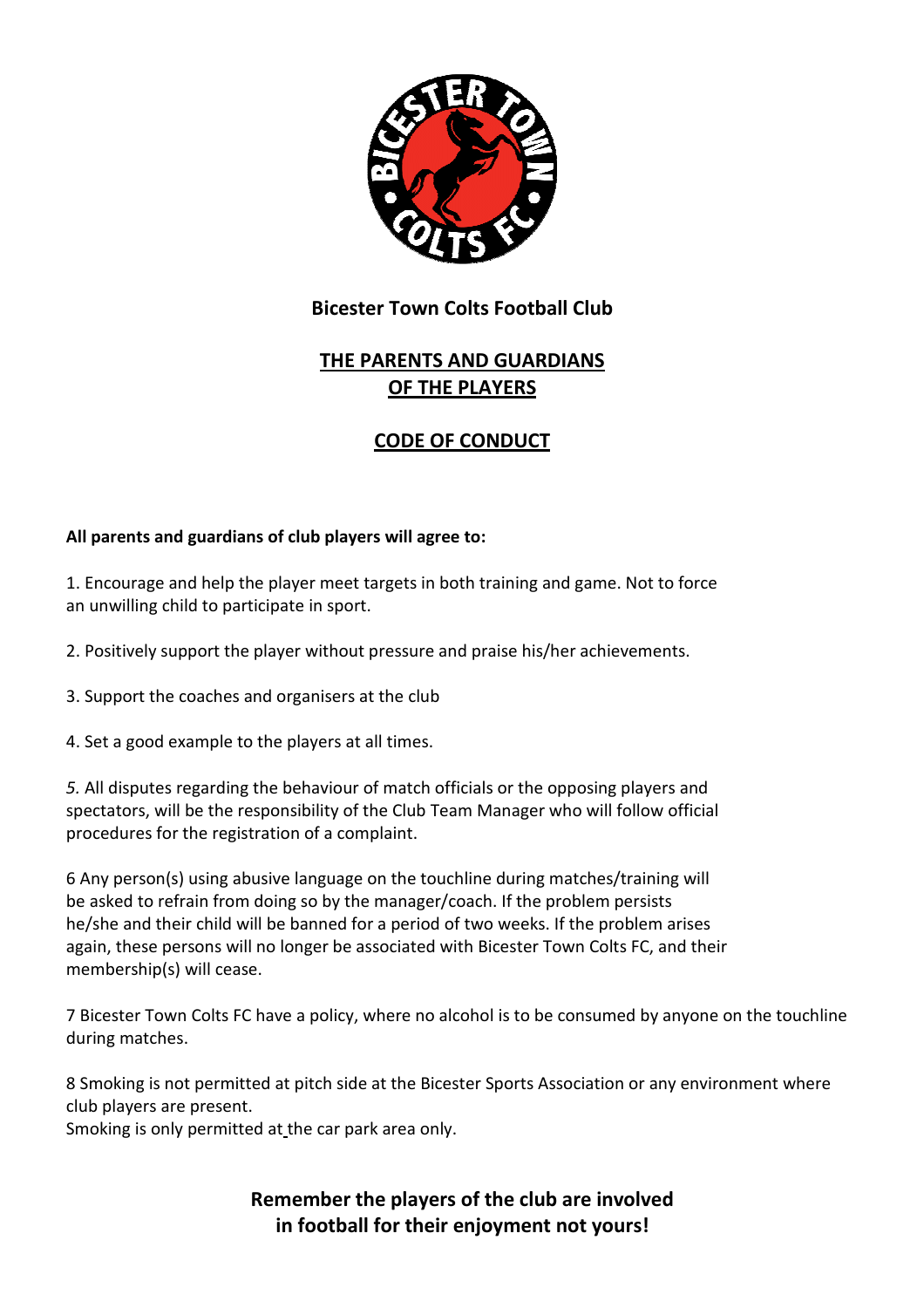

# **THE PARENTS AND GUARDIANS OF THE PLAYERS**

## **CODE OF CONDUCT**

#### **All parents and guardians of club players will agree to:**

1. Encourage and help the player meet targets in both training and game. Not to force an unwilling child to participate in sport.

2. Positively support the player without pressure and praise his/her achievements.

3. Support the coaches and organisers at the club

4. Set a good example to the players at all times.

*5.* All disputes regarding the behaviour of match officials or the opposing players and spectators, will be the responsibility of the Club Team Manager who will follow official procedures for the registration of a complaint.

6 Any person(s) using abusive language on the touchline during matches/training will be asked to refrain from doing so by the manager/coach. If the problem persists he/she and their child will be banned for a period of two weeks. If the problem arises again, these persons will no longer be associated with Bicester Town Colts FC, and their membership(s) will cease.

7 Bicester Town Colts FC have a policy, where no alcohol is to be consumed by anyone on the touchline during matches.

8 Smoking is not permitted at pitch side at the Bicester Sports Association or any environment where club players are present.

Smoking is only permitted at the car park area only.

**Remember the players of the club are involved in football for their enjoyment not yours!**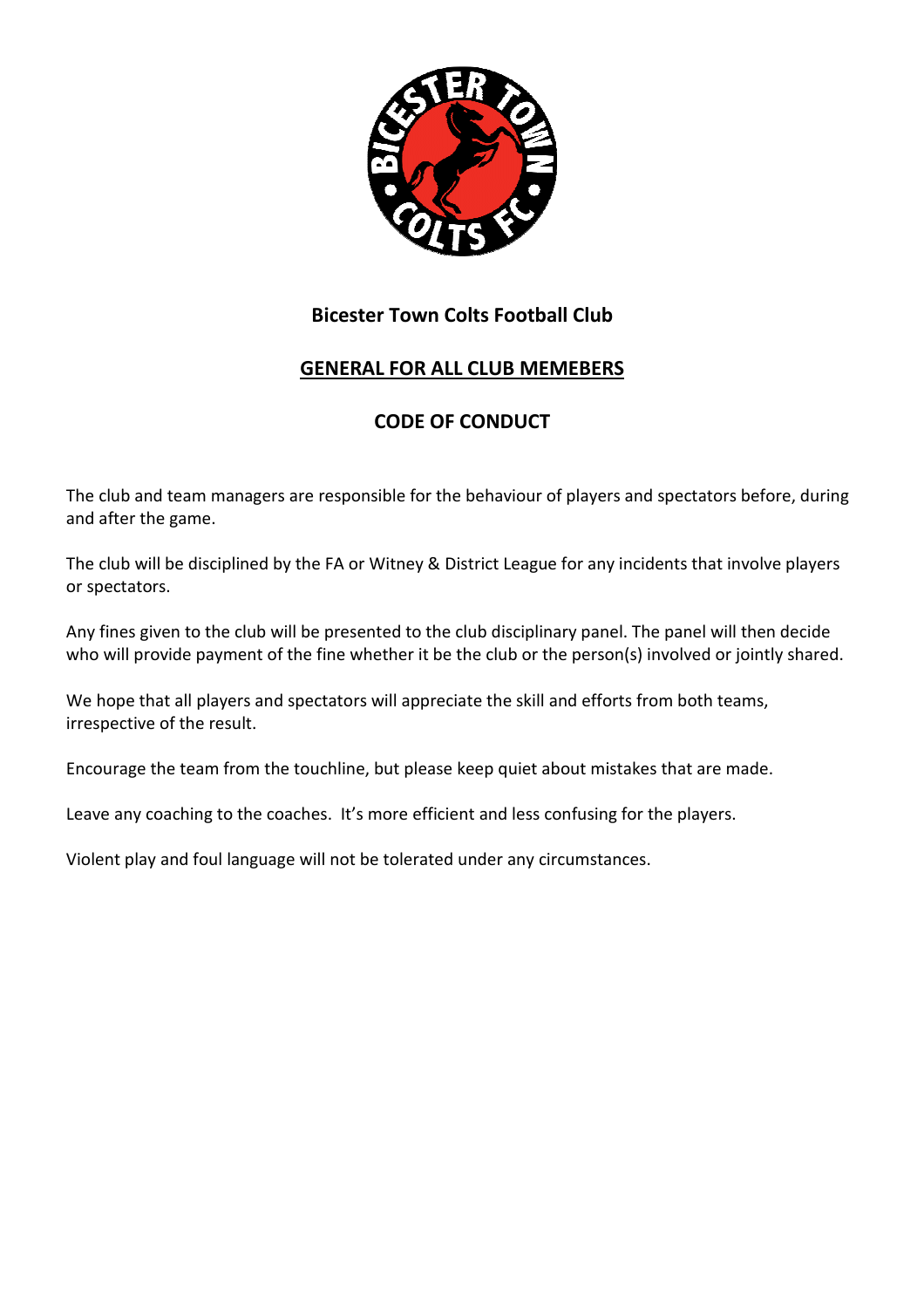

## **GENERAL FOR ALL CLUB MEMEBERS**

## **CODE OF CONDUCT**

The club and team managers are responsible for the behaviour of players and spectators before, during and after the game.

The club will be disciplined by the FA or Witney & District League for any incidents that involve players or spectators.

Any fines given to the club will be presented to the club disciplinary panel. The panel will then decide who will provide payment of the fine whether it be the club or the person(s) involved or jointly shared.

We hope that all players and spectators will appreciate the skill and efforts from both teams, irrespective of the result.

Encourage the team from the touchline, but please keep quiet about mistakes that are made.

Leave any coaching to the coaches. It's more efficient and less confusing for the players.

Violent play and foul language will not be tolerated under any circumstances.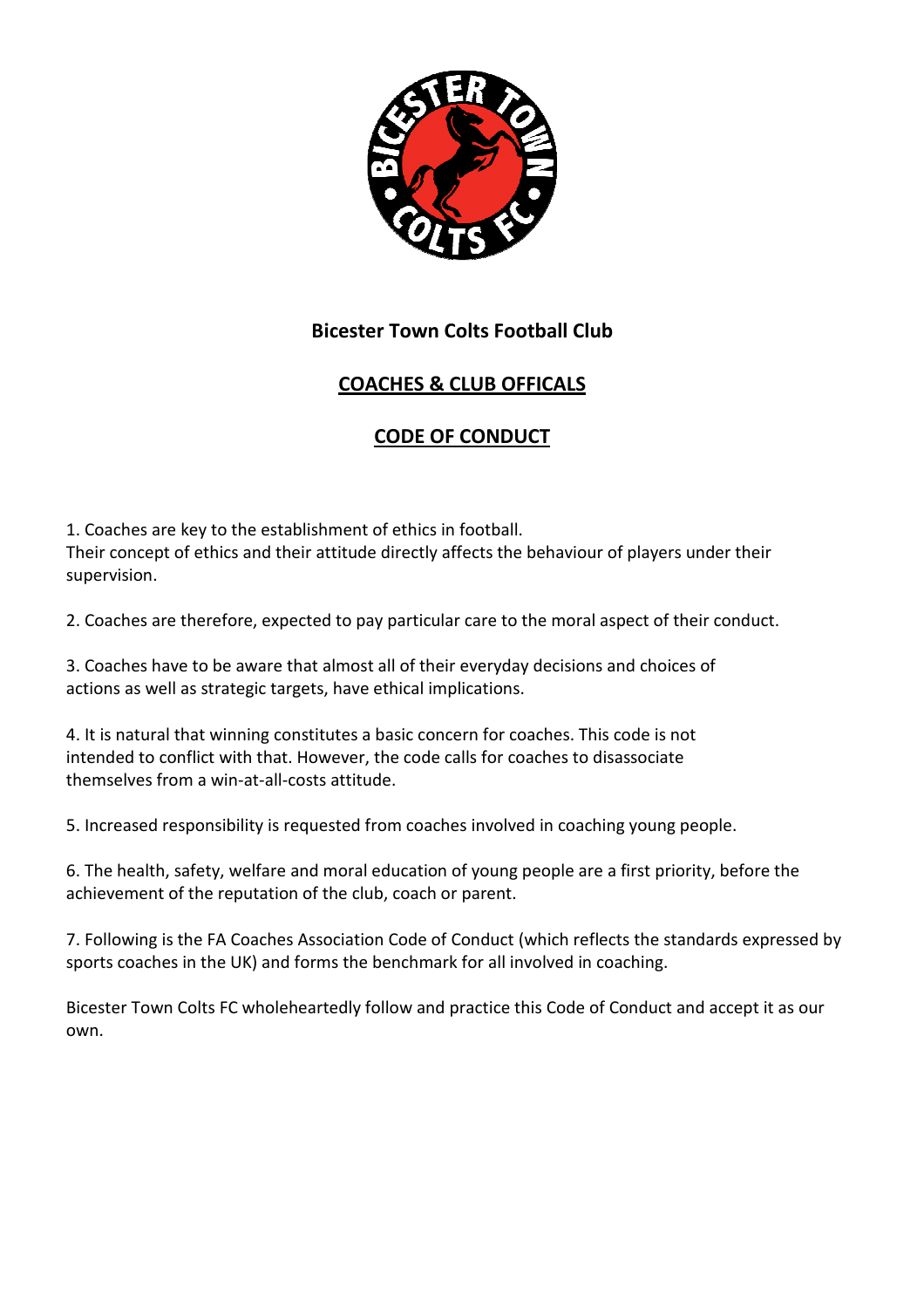

## **COACHES & CLUB OFFICALS**

### **CODE OF CONDUCT**

1. Coaches are key to the establishment of ethics in football. Their concept of ethics and their attitude directly affects the behaviour of players under their supervision.

2. Coaches are therefore, expected to pay particular care to the moral aspect of their conduct.

3. Coaches have to be aware that almost all of their everyday decisions and choices of actions as well as strategic targets, have ethical implications.

4. It is natural that winning constitutes a basic concern for coaches. This code is not intended to conflict with that. However, the code calls for coaches to disassociate themselves from a win-at-all-costs attitude.

5. Increased responsibility is requested from coaches involved in coaching young people.

6. The health, safety, welfare and moral education of young people are a first priority, before the achievement of the reputation of the club, coach or parent.

7. Following is the FA Coaches Association Code of Conduct (which reflects the standards expressed by sports coaches in the UK) and forms the benchmark for all involved in coaching.

Bicester Town Colts FC wholeheartedly follow and practice this Code of Conduct and accept it as our own.